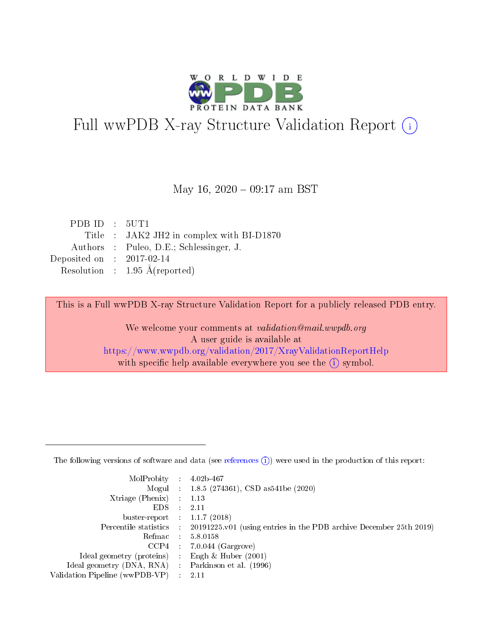

# Full wwPDB X-ray Structure Validation Report (i)

#### May 16,  $2020 - 09:17$  am BST

| PDBID : 5UT1                |                                           |
|-----------------------------|-------------------------------------------|
|                             | Title : JAK2 JH2 in complex with BI-D1870 |
|                             | Authors : Puleo, D.E.; Schlessinger, J.   |
| Deposited on : $2017-02-14$ |                                           |
|                             | Resolution : $1.95 \text{ Å}$ (reported)  |

This is a Full wwPDB X-ray Structure Validation Report for a publicly released PDB entry.

We welcome your comments at validation@mail.wwpdb.org A user guide is available at <https://www.wwpdb.org/validation/2017/XrayValidationReportHelp> with specific help available everywhere you see the  $(i)$  symbol.

The following versions of software and data (see [references](https://www.wwpdb.org/validation/2017/XrayValidationReportHelp#references)  $(1)$ ) were used in the production of this report:

| MolProbity :                   |               | $4.02b - 467$                                                                |
|--------------------------------|---------------|------------------------------------------------------------------------------|
|                                |               | Mogul : 1.8.5 (274361), CSD as 541be (2020)                                  |
| $X$ triage (Phenix) :          |               | 1.13                                                                         |
| EDS.                           |               | 2.11                                                                         |
| buster-report : $1.1.7$ (2018) |               |                                                                              |
| Percentile statistics :        |               | $20191225 \text{ v}01$ (using entries in the PDB archive December 25th 2019) |
| Refmac :                       |               | 5.8.0158                                                                     |
| $CCP4$ :                       |               | $7.0.044$ (Gargrove)                                                         |
| Ideal geometry (proteins) :    |               | Engh $\&$ Huber (2001)                                                       |
| Ideal geometry (DNA, RNA) :    |               | Parkinson et al. (1996)                                                      |
| Validation Pipeline (wwPDB-VP) | $\mathcal{L}$ | 2.11                                                                         |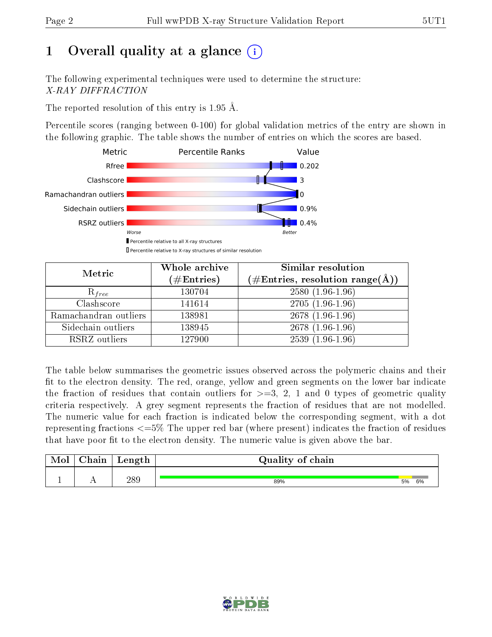# 1 [O](https://www.wwpdb.org/validation/2017/XrayValidationReportHelp#overall_quality)verall quality at a glance  $(i)$

The following experimental techniques were used to determine the structure: X-RAY DIFFRACTION

The reported resolution of this entry is 1.95 Å.

Percentile scores (ranging between 0-100) for global validation metrics of the entry are shown in the following graphic. The table shows the number of entries on which the scores are based.



| Metric                | Whole archive<br>$(\#\mathrm{Entries})$ | Similar resolution<br>$(\#\text{Entries}, \text{resolution range}(\textup{\AA}))$ |
|-----------------------|-----------------------------------------|-----------------------------------------------------------------------------------|
| $R_{free}$            | 130704                                  | $2580(1.96-1.96)$                                                                 |
| Clashscore            | 141614                                  | $2705(1.96-1.96)$                                                                 |
| Ramachandran outliers | 138981                                  | $2678(1.96-1.96)$                                                                 |
| Sidechain outliers    | 138945                                  | $2678(1.96-1.96)$                                                                 |
| RSRZ outliers         | 127900                                  | $2539(1.96-1.96)$                                                                 |

The table below summarises the geometric issues observed across the polymeric chains and their fit to the electron density. The red, orange, yellow and green segments on the lower bar indicate the fraction of residues that contain outliers for  $>=3, 2, 1$  and 0 types of geometric quality criteria respectively. A grey segment represents the fraction of residues that are not modelled. The numeric value for each fraction is indicated below the corresponding segment, with a dot representing fractions  $\epsilon=5\%$  The upper red bar (where present) indicates the fraction of residues that have poor fit to the electron density. The numeric value is given above the bar.

| Mol           | nain | Length | Quality of chain |    |    |  |  |  |  |
|---------------|------|--------|------------------|----|----|--|--|--|--|
| <u>. на п</u> | . .  | 289    | 89%              | 5% | 6% |  |  |  |  |

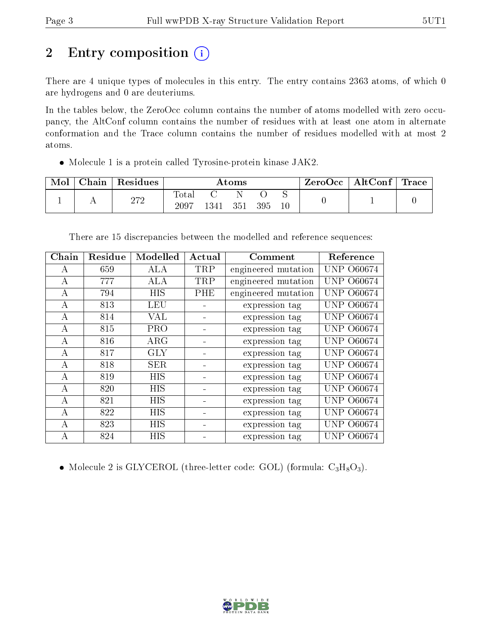# 2 Entry composition (i)

There are 4 unique types of molecules in this entry. The entry contains 2363 atoms, of which 0 are hydrogens and 0 are deuteriums.

In the tables below, the ZeroOcc column contains the number of atoms modelled with zero occupancy, the AltConf column contains the number of residues with at least one atom in alternate conformation and the Trace column contains the number of residues modelled with at most 2 atoms.

Molecule 1 is a protein called Tyrosine-protein kinase JAK2.

| Mol | Chain | Residues | Atoms                     |      |     |     |         | ZeroOcc∣ | $\mid$ AltConf $\mid$ Trace $\mid$ |  |
|-----|-------|----------|---------------------------|------|-----|-----|---------|----------|------------------------------------|--|
|     |       | $272\,$  | $\mathrm{Tota}_1$<br>2097 | 1341 | 351 | 395 | ◡<br>10 |          |                                    |  |

There are 15 discrepancies between the modelled and reference sequences:

| Chain | Residue | Modelled   | Actual | Comment             | Reference         |
|-------|---------|------------|--------|---------------------|-------------------|
| A     | 659     | ALA        | TRP    | engineered mutation | UNP 060674        |
| А     | 777     | ALA        | TRP    | engineered mutation | <b>UNP 060674</b> |
| А     | 794     | <b>HIS</b> | PHE    | engineered mutation | O60674<br>UNP.    |
| А     | 813     | <b>LEU</b> |        | expression tag      | UNP 060674        |
| А     | 814     | <b>VAL</b> |        | expression tag      | <b>UNP 060674</b> |
| А     | 815     | <b>PRO</b> |        | expression tag      | UNP-<br>O60674    |
| А     | 816     | $\rm{ARG}$ |        | expression tag      | UNP 060674        |
| A     | 817     | <b>GLY</b> |        | expression tag      | UNP 060674        |
| A     | 818     | <b>SER</b> |        | expression tag      | <b>UNP 060674</b> |
| A     | 819     | <b>HIS</b> |        | expression tag      | UNP 060674        |
| А     | 820     | <b>HIS</b> |        | expression tag      | <b>UNP 060674</b> |
| A     | 821     | <b>HIS</b> |        | expression tag      | O60674<br>UNP.    |
| A     | 822     | <b>HIS</b> |        | expression tag      | O60674<br>UNP.    |
| А     | 823     | HIS        |        | expression tag      | <b>UNP 060674</b> |
| A     | 824     | <b>HIS</b> |        | expression tag      | UNP 060674        |

• Molecule 2 is GLYCEROL (three-letter code: GOL) (formula:  $C_3H_8O_3$ ).

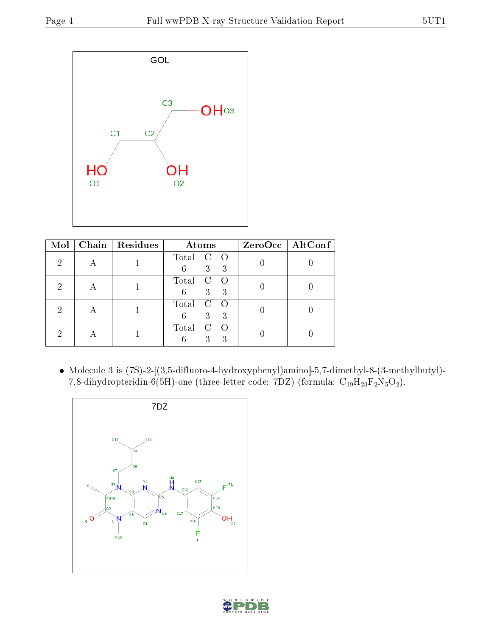

| Mol | Chain   Residues | Atoms                                                    | ZeroOcc   AltConf |
|-----|------------------|----------------------------------------------------------|-------------------|
|     |                  | Total<br>$\overline{C}$<br>- 0<br>3<br>6<br>-3           |                   |
|     |                  | Total<br>$\mathcal C$<br>$\left( \right)$<br>3<br>3<br>6 |                   |
|     |                  | Total<br>$\mathcal C$<br>3<br>3<br>6                     |                   |
|     |                  | Total<br>C<br>3<br>3                                     |                   |

 Molecule 3 is (7S)-2-[(3,5-difluoro-4-hydroxyphenyl)amino]-5,7-dimethyl-8-(3-methylbutyl)- 7,8-dihydropteridin-6(5H)-one (three-letter code: 7DZ) (formula:  $C_{19}H_{23}F_2N_5O_2$ ).



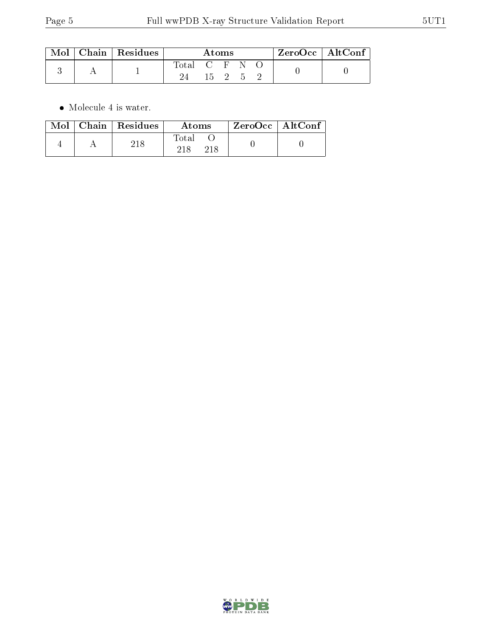|  | $\text{Mol}$   Chain   Residues | Atoms       |      |  |     |  | $\rm ZeroOcc$   Alt $\rm Conf$ |  |
|--|---------------------------------|-------------|------|--|-----|--|--------------------------------|--|
|  |                                 | Total C F N |      |  |     |  |                                |  |
|  |                                 |             | 15 2 |  | - 5 |  |                                |  |

 $\bullet\,$  Molecule 4 is water.

| Mol | $Chain$ Residues | Atoms | $ZeroOcc \mid AltConf$ |  |
|-----|------------------|-------|------------------------|--|
|     |                  | Total |                        |  |

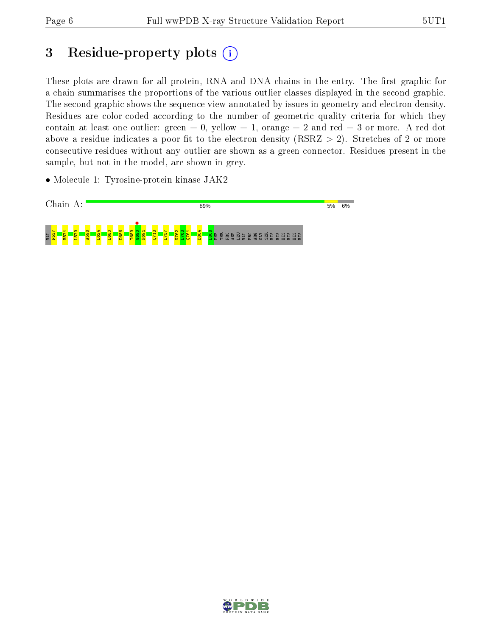# 3 Residue-property plots (i)

These plots are drawn for all protein, RNA and DNA chains in the entry. The first graphic for a chain summarises the proportions of the various outlier classes displayed in the second graphic. The second graphic shows the sequence view annotated by issues in geometry and electron density. Residues are color-coded according to the number of geometric quality criteria for which they contain at least one outlier: green  $= 0$ , yellow  $= 1$ , orange  $= 2$  and red  $= 3$  or more. A red dot above a residue indicates a poor fit to the electron density (RSRZ  $> 2$ ). Stretches of 2 or more consecutive residues without any outlier are shown as a green connector. Residues present in the sample, but not in the model, are shown in grey.

• Molecule 1: Tyrosine-protein kinase JAK2



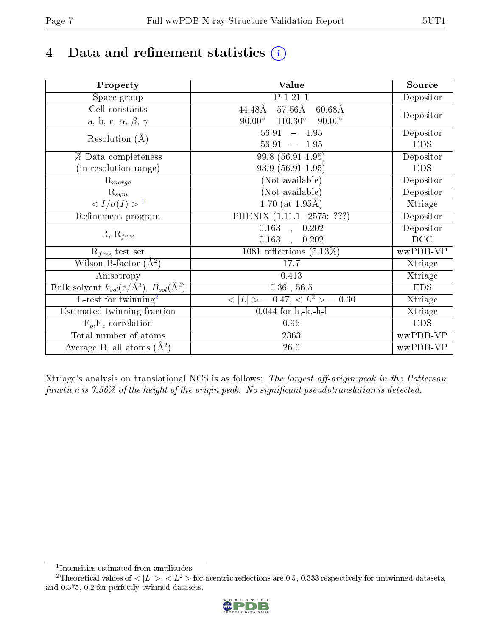# 4 Data and refinement statistics  $(i)$

| Property                                                             | Value                                            | Source     |
|----------------------------------------------------------------------|--------------------------------------------------|------------|
| Space group                                                          | P 1 21 1                                         | Depositor  |
| Cell constants                                                       | $57.56\text{\AA}$<br>$60.68\AA$<br>44.48Å        | Depositor  |
| a, b, c, $\alpha$ , $\beta$ , $\gamma$                               | $90.00^\circ$<br>$110.30^\circ$<br>$90.00^\circ$ |            |
| Resolution $(A)$                                                     | $-1.95$<br>56.91                                 | Depositor  |
|                                                                      | 56.91<br>$-1.95$                                 | <b>EDS</b> |
| % Data completeness                                                  | 99.8 (56.91-1.95)                                | Depositor  |
| (in resolution range)                                                | $93.9(56.91-1.95)$                               | <b>EDS</b> |
| $R_{merge}$                                                          | (Not available)                                  | Depositor  |
| $\mathrm{R}_{sym}$                                                   | (Not available)                                  | Depositor  |
| $\sqrt{I/\sigma(I)} > 1$                                             | $1.70$ (at $1.95\text{\AA}$ )                    | Xtriage    |
| Refinement program                                                   | PHENIX (1.11.1 2575: ???)                        | Depositor  |
| $R, R_{free}$                                                        | $\overline{0.163}$ ,<br>0.202                    | Depositor  |
|                                                                      | 0.163<br>0.202<br>$\mathbf{r}$                   | DCC        |
| $\mathcal{R}_{free}$ test set                                        | 1081 reflections $(5.13\%)$                      | wwPDB-VP   |
| Wilson B-factor $(A^2)$                                              | 17.7                                             | Xtriage    |
| Anisotropy                                                           | 0.413                                            | Xtriage    |
| Bulk solvent $k_{sol}(e/\mathring{A}^3)$ , $B_{sol}(\mathring{A}^2)$ | $0.36$ , $56.5$                                  | <b>EDS</b> |
| L-test for twinning <sup>2</sup>                                     | $< L >$ = 0.47, $< L2 >$ = 0.30                  | Xtriage    |
| Estimated twinning fraction                                          | $\overline{0.0}44$ for h,-k,-h-l                 | Xtriage    |
| $F_o, F_c$ correlation                                               | 0.96                                             | <b>EDS</b> |
| Total number of atoms                                                | 2363                                             | wwPDB-VP   |
| Average B, all atoms $(A^2)$                                         | $26.0\,$                                         | wwPDB-VP   |

Xtriage's analysis on translational NCS is as follows: The largest off-origin peak in the Patterson function is  $7.56\%$  of the height of the origin peak. No significant pseudotranslation is detected.

<sup>&</sup>lt;sup>2</sup>Theoretical values of  $\langle |L| \rangle$ ,  $\langle L^2 \rangle$  for acentric reflections are 0.5, 0.333 respectively for untwinned datasets, and 0.375, 0.2 for perfectly twinned datasets.



<span id="page-6-1"></span><span id="page-6-0"></span><sup>1</sup> Intensities estimated from amplitudes.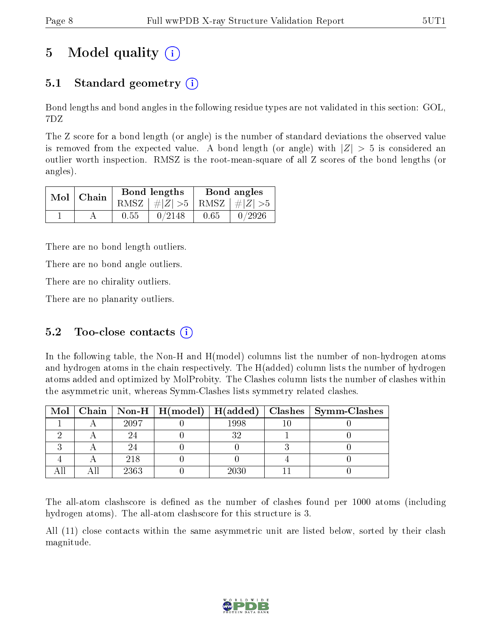## 5 Model quality  $(i)$

### 5.1 Standard geometry  $(i)$

Bond lengths and bond angles in the following residue types are not validated in this section: GOL, 7DZ

The Z score for a bond length (or angle) is the number of standard deviations the observed value is removed from the expected value. A bond length (or angle) with  $|Z| > 5$  is considered an outlier worth inspection. RMSZ is the root-mean-square of all Z scores of the bond lengths (or angles).

|  | $Mol$   Chain |      | Bond lengths                    | Bond angles |        |  |
|--|---------------|------|---------------------------------|-------------|--------|--|
|  |               |      | RMSZ $ #Z  > 5$ RMSZ $ #Z  > 5$ |             |        |  |
|  |               | 0.55 | 0/2148                          | 0.65        | 0/2926 |  |

There are no bond length outliers.

There are no bond angle outliers.

There are no chirality outliers.

There are no planarity outliers.

### 5.2 Too-close contacts  $(i)$

In the following table, the Non-H and H(model) columns list the number of non-hydrogen atoms and hydrogen atoms in the chain respectively. The H(added) column lists the number of hydrogen atoms added and optimized by MolProbity. The Clashes column lists the number of clashes within the asymmetric unit, whereas Symm-Clashes lists symmetry related clashes.

|  |      |      | Mol   Chain   Non-H   H(model)   H(added)   Clashes   Symm-Clashes |
|--|------|------|--------------------------------------------------------------------|
|  | 2097 | 1998 |                                                                    |
|  |      |      |                                                                    |
|  |      |      |                                                                    |
|  | 218  |      |                                                                    |
|  | 2363 | 2030 |                                                                    |

The all-atom clashscore is defined as the number of clashes found per 1000 atoms (including hydrogen atoms). The all-atom clashscore for this structure is 3.

All (11) close contacts within the same asymmetric unit are listed below, sorted by their clash magnitude.

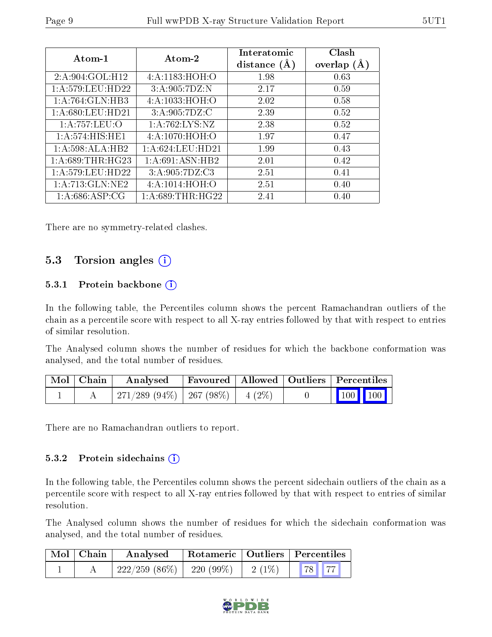| Atom-1            | Atom-2            | Interatomic<br>distance $(A)$ | Clash<br>overlap $(A)$ |
|-------------------|-------------------|-------------------------------|------------------------|
| 2:A:904:GOL:H12   | 4: A: 1183:HOH: O | 1.98                          | 0.63                   |
| 1: A:579:LEU:HD22 | 3:A:905:7DZ:N     | 2.17                          | 0.59                   |
| 1:A:764:GLN:HB3   | 4: A: 1033:HOH: O | 2.02                          | 0.58                   |
| 1:A:680:LEU:HD21  | 3:A:905:7DZ:C     | 2.39                          | 0.52                   |
| 1:A:757:LEU:O     | 1: A:762:LYS:NZ   | 2.38                          | 0.52                   |
| 1:A:574:HIS:HE1   | 4: A: 1070: HOH:O | 1.97                          | 0.47                   |
| 1:A:598:ALA:HB2   | 1: A:624:LEU:HD21 | 1.99                          | 0.43                   |
| 1: A:689:THR:HG23 | 1:A:691:ASN:HB2   | 2.01                          | 0.42                   |
| 1:A:579:LEU:HD22  | 3: A:905:7DZ:C3   | 2.51                          | 0.41                   |
| 1:A:713:GLN:NE2   | 4:A:1014:HOH:O    | 2.51                          | 0.40                   |
| 1: A:686: ASP:CG  | 1: A:689:THR:HG22 | 2.41                          | 0.40                   |

There are no symmetry-related clashes.

### 5.3 Torsion angles (i)

#### 5.3.1 Protein backbone (i)

In the following table, the Percentiles column shows the percent Ramachandran outliers of the chain as a percentile score with respect to all X-ray entries followed by that with respect to entries of similar resolution.

The Analysed column shows the number of residues for which the backbone conformation was analysed, and the total number of residues.

| $\boxed{\text{Mol}}$ Chain | Favoured   Allowed   Outliers   Percentiles<br>Analysed |  |  |                         |  |
|----------------------------|---------------------------------------------------------|--|--|-------------------------|--|
|                            | 271/289 (94\%)   267 (98\%)   4 (2\%)                   |  |  | $\vert$ 100 100 $\vert$ |  |

There are no Ramachandran outliers to report.

#### 5.3.2 Protein sidechains  $(i)$

In the following table, the Percentiles column shows the percent sidechain outliers of the chain as a percentile score with respect to all X-ray entries followed by that with respect to entries of similar resolution.

The Analysed column shows the number of residues for which the sidechain conformation was analysed, and the total number of residues.

| $\blacksquare$ Mol $\blacksquare$ Chain | Rotameric   Outliers   Percentiles<br>Analysed |  |          |  |
|-----------------------------------------|------------------------------------------------|--|----------|--|
|                                         | $222/259$ (86\%)   220 (99\%)   2 (1\%)        |  | 78    77 |  |

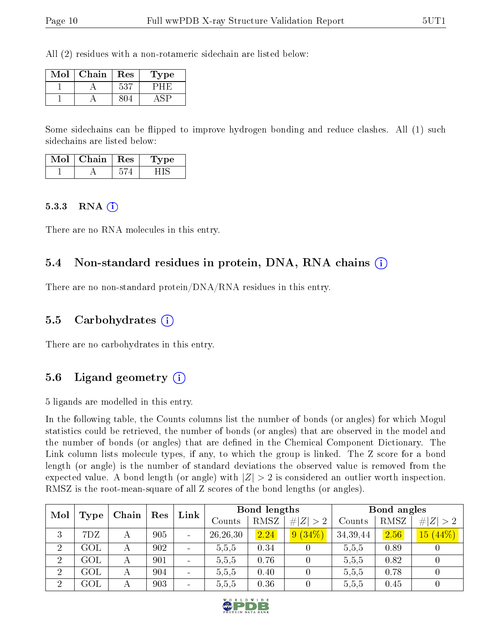All (2) residues with a non-rotameric sidechain are listed below:

| Mol | Chain | Res | Type |
|-----|-------|-----|------|
|     |       | 537 |      |
|     |       |     |      |

Some sidechains can be flipped to improve hydrogen bonding and reduce clashes. All (1) such sidechains are listed below:

| Mol | Chain   Res | vpe |
|-----|-------------|-----|
|     |             |     |

#### $5.3.3$  RNA  $(i)$

There are no RNA molecules in this entry.

#### 5.4 Non-standard residues in protein, DNA, RNA chains (i)

There are no non-standard protein/DNA/RNA residues in this entry.

#### 5.5 Carbohydrates (i)

There are no carbohydrates in this entry.

#### 5.6 Ligand geometry (i)

5 ligands are modelled in this entry.

In the following table, the Counts columns list the number of bonds (or angles) for which Mogul statistics could be retrieved, the number of bonds (or angles) that are observed in the model and the number of bonds (or angles) that are dened in the Chemical Component Dictionary. The Link column lists molecule types, if any, to which the group is linked. The Z score for a bond length (or angle) is the number of standard deviations the observed value is removed from the expected value. A bond length (or angle) with  $|Z| > 2$  is considered an outlier worth inspection. RMSZ is the root-mean-square of all Z scores of the bond lengths (or angles).

| Mol            |                |       | Res |                              |            | Bond lengths |             |          | Bond angles |             |
|----------------|----------------|-------|-----|------------------------------|------------|--------------|-------------|----------|-------------|-------------|
|                | Type           | Chain |     | Link                         | Counts     | RMSZ         | # $ Z  > 2$ | Counts   | RMSZ        | # $ Z  > 2$ |
| 3              | 7DZ            | А     | 905 | $\overline{\phantom{0}}$     | 26, 26, 30 | 2.24         | 9(34%)      | 34,39,44 | 2.56        | $15(44\%)$  |
| $\overline{2}$ | GOL            | А     | 902 | $\qquad \qquad$              | 5,5,5      | 0.34         |             | 5,5,5    | 0.89        |             |
| $\overline{2}$ | GOL            | А     | 901 | $\qquad \qquad \blacksquare$ | 5,5,5      | 0.76         |             | 5,5,5    | 0.82        |             |
| $\overline{2}$ | GOL            | А     | 904 | $\qquad \qquad \blacksquare$ | 5.5,5      | 0.40         |             | 5,5,5    | 0.78        |             |
| $\overline{2}$ | $\mathrm{GOL}$ | А     | 903 | $\overline{\phantom{0}}$     | 5,5,5      | 0.36         |             | 5,5,5    | 0.45        |             |

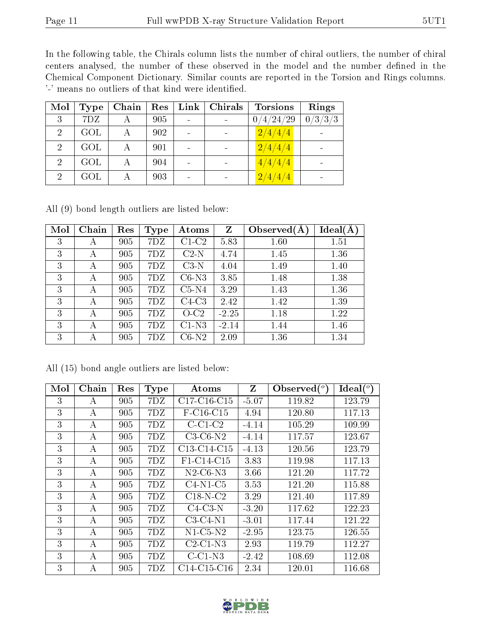In the following table, the Chirals column lists the number of chiral outliers, the number of chiral centers analysed, the number of these observed in the model and the number defined in the Chemical Component Dictionary. Similar counts are reported in the Torsion and Rings columns. '-' means no outliers of that kind were identified.

| Mol            | Type | Chain | Res | $Link \mid$ | Chirals | <b>Torsions</b> | Rings                     |
|----------------|------|-------|-----|-------------|---------|-----------------|---------------------------|
| 3              | 7DZ  |       | 905 |             |         | 0/4/24/29       | $\frac{0}{3}/\frac{3}{3}$ |
| $\overline{2}$ | GOL  |       | 902 |             |         | 2/4/4/4         |                           |
| $\overline{2}$ | GOL  | А     | 901 |             |         | 2/4/4/4         |                           |
| $\overline{2}$ | GOL  |       | 904 |             |         | 4/4/4/4         |                           |
| $\overline{2}$ | GOL  | А     | 903 |             |         | 2/4/4/4         |                           |

All (9) bond length outliers are listed below:

| Mol | Chain | Res | Type | Atoms   | Z       | Observed $(A$ | Ideal(A) |
|-----|-------|-----|------|---------|---------|---------------|----------|
| 3   | А     | 905 | 7DZ  | $C1-C2$ | 5.83    | 1.60          | 1.51     |
| 3   | А     | 905 | 7DZ  | $C2-N$  | 4.74    | 1.45          | 1.36     |
| 3   | А     | 905 | 7DZ  | $C3-N$  | 4.04    | 1.49          | 1.40     |
| 3   | А     | 905 | 7DZ  | $C6-N3$ | 3.85    | 1.48          | 1.38     |
| 3   | А     | 905 | 7DZ  | $C5-N4$ | 3.29    | 1.43          | 1.36     |
| 3   | А     | 905 | 7DZ  | $C4-C3$ | 2.42    | 1.42          | 1.39     |
| 3   | А     | 905 | 7DZ  | $O-C2$  | $-2.25$ | 1.18          | 1.22     |
| 3   | А     | 905 | 7DZ  | $C1-N3$ | $-2.14$ | 1.44          | 1.46     |
| 3   | А     | 905 | 7DZ  | $C6-N2$ | 2.09    | 1.36          | 1.34     |

All (15) bond angle outliers are listed below:

| Mol | Chain | Res | <b>Type</b> | Atoms                                             | Z       | Observed $(°)$ | Ideal $(^\circ)$ |
|-----|-------|-----|-------------|---------------------------------------------------|---------|----------------|------------------|
| 3   | А     | 905 | 7DZ         | $C17-C16-C15$                                     | $-5.07$ | 119.82         | 123.79           |
| 3   | А     | 905 | 7DZ         | $F-C16-C15$                                       | 4.94    | 120.80         | 117.13           |
| 3   | А     | 905 | 7DZ         | $C-C1-C2$                                         | $-4.14$ | 105.29         | 109.99           |
| 3   | А     | 905 | 7DZ         | $C3-C6-N2$                                        | $-4.14$ | 117.57         | 123.67           |
| 3   | А     | 905 | 7DZ         | C <sub>13</sub> -C <sub>14</sub> -C <sub>15</sub> | $-4.13$ | 120.56         | 123.79           |
| 3   | А     | 905 | 7DZ         | F1-C14-C15                                        | 3.83    | 119.98         | 117.13           |
| 3   | А     | 905 | 7DZ         | $N2$ -C <sub>6</sub> -N <sub>3</sub>              | 3.66    | 121.20         | 117.72           |
| 3   | А     | 905 | 7DZ         | $C4-N1-C5$                                        | 3.53    | 121.20         | 115.88           |
| 3   | А     | 905 | 7DZ         | $C18-N-C2$                                        | 3.29    | 121.40         | 117.89           |
| 3   | А     | 905 | 7DZ         | $C4-C3-N$                                         | $-3.20$ | 117.62         | 122.23           |
| 3   | А     | 905 | 7DZ         | $C3-C4-N1$                                        | $-3.01$ | 117.44         | 121.22           |
| 3   | А     | 905 | 7DZ         | $N1-C5-N2$                                        | $-2.95$ | 123.75         | 126.55           |
| 3   | А     | 905 | 7DZ         | $C2-C1-N3$                                        | 2.93    | 119.79         | 112.27           |
| 3   | А     | 905 | 7DZ         | $C-C1-N3$                                         | $-2.42$ | 108.69         | 112.08           |
| 3   | А     | 905 | 7DZ         | $C14-C15-C16$                                     | 2.34    | 120.01         | 116.68           |

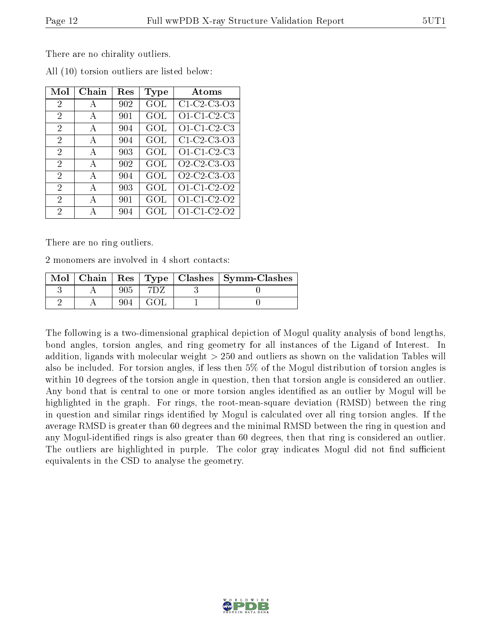| Mol            | Chain        | Res | Type | Atoms                                                          |
|----------------|--------------|-----|------|----------------------------------------------------------------|
| $\overline{2}$ | A            | 902 | GOL  | $C1-C2-C3-O3$                                                  |
| $\overline{2}$ | $\mathbf{A}$ | 901 | GOL  | $O1-C1-C2-C3$                                                  |
| $\overline{2}$ | A            | 904 | GOL  | $O1-C1-C2-C3$                                                  |
| 2              | A            | 904 | GOL  | C1-C2-C3-O3                                                    |
| 2              | $\mathbf{A}$ | 903 | GOL  | $O1-C1-C2-C3$                                                  |
| $\overline{2}$ | A            | 902 | GOL  | O <sub>2</sub> -C <sub>2</sub> -C <sub>3</sub> -O <sub>3</sub> |
| 2              | $\mathbf{A}$ | 904 | GOL  | O <sub>2</sub> -C <sub>2</sub> -C <sub>3</sub> -O <sub>3</sub> |
| 2              | $\mathbf{A}$ | 903 | GOL  | O1-C1-C2-O2                                                    |
| 2              | A            | 901 | GOL  | O1-C1-C2-O2                                                    |
| 2              | А            | 904 | GOL  | O1-C1-C2-O2                                                    |

All (10) torsion outliers are listed below:

There are no ring outliers.

2 monomers are involved in 4 short contacts:

| $Mol$   Chain |  | Res   Type   Clashes   Symm-Clashes |
|---------------|--|-------------------------------------|
|               |  |                                     |
|               |  |                                     |

The following is a two-dimensional graphical depiction of Mogul quality analysis of bond lengths, bond angles, torsion angles, and ring geometry for all instances of the Ligand of Interest. In addition, ligands with molecular weight > 250 and outliers as shown on the validation Tables will also be included. For torsion angles, if less then 5% of the Mogul distribution of torsion angles is within 10 degrees of the torsion angle in question, then that torsion angle is considered an outlier. Any bond that is central to one or more torsion angles identified as an outlier by Mogul will be highlighted in the graph. For rings, the root-mean-square deviation (RMSD) between the ring in question and similar rings identified by Mogul is calculated over all ring torsion angles. If the average RMSD is greater than 60 degrees and the minimal RMSD between the ring in question and any Mogul-identied rings is also greater than 60 degrees, then that ring is considered an outlier. The outliers are highlighted in purple. The color gray indicates Mogul did not find sufficient equivalents in the CSD to analyse the geometry.

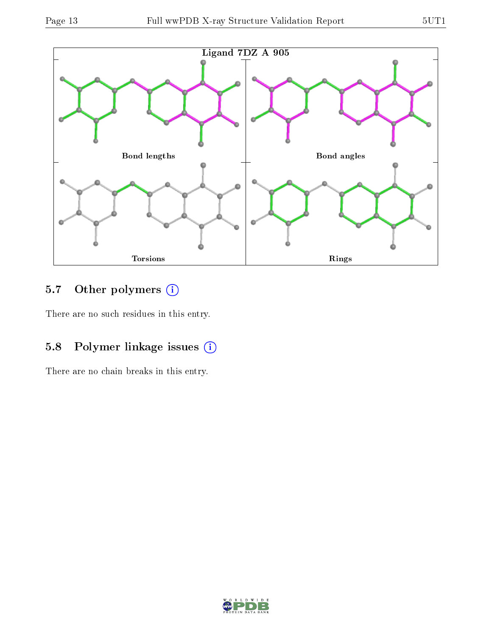

## 5.7 [O](https://www.wwpdb.org/validation/2017/XrayValidationReportHelp#nonstandard_residues_and_ligands)ther polymers (i)

There are no such residues in this entry.

## 5.8 Polymer linkage issues (i)

There are no chain breaks in this entry.

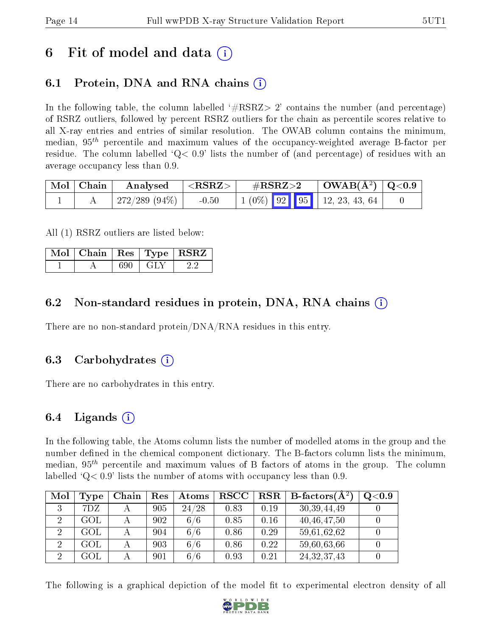## 6 Fit of model and data  $\left( \cdot \right)$

## 6.1 Protein, DNA and RNA chains (i)

In the following table, the column labelled  $#RSRZ>2'$  contains the number (and percentage) of RSRZ outliers, followed by percent RSRZ outliers for the chain as percentile scores relative to all X-ray entries and entries of similar resolution. The OWAB column contains the minimum, median,  $95<sup>th</sup>$  percentile and maximum values of the occupancy-weighted average B-factor per residue. The column labelled  $Q< 0.9$  lists the number of (and percentage) of residues with an average occupancy less than 0.9.

| $\mid$ Mol $\mid$ Chain | $\boldsymbol{\mathrm{Analysed}}$ | $^{\dagger}$ <rsrz> <math>_{\dagger}</math></rsrz> | $\rm \#RSRZ{>}2$                                   | $\vert$ OWAB( $\rm \AA^2)$ $\vert$ Q<0.9 |  |
|-------------------------|----------------------------------|----------------------------------------------------|----------------------------------------------------|------------------------------------------|--|
|                         | 272/289 (94%)                    | $-0.50$                                            | $\vert 1 \vert (0\%)$ 92 95 $\vert 12, 23, 43, 64$ |                                          |  |

All (1) RSRZ outliers are listed below:

| $\vert$ Mol $\vert$ Chain $\vert$ Res $\vert$ Type $\vert$ RSRZ |       |  |
|-----------------------------------------------------------------|-------|--|
|                                                                 | - GLN |  |

### 6.2 Non-standard residues in protein, DNA, RNA chains (i)

There are no non-standard protein/DNA/RNA residues in this entry.

#### 6.3 Carbohydrates (i)

There are no carbohydrates in this entry.

### 6.4 Ligands  $(i)$

In the following table, the Atoms column lists the number of modelled atoms in the group and the number defined in the chemical component dictionary. The B-factors column lists the minimum, median,  $95<sup>th</sup>$  percentile and maximum values of B factors of atoms in the group. The column labelled  $Q< 0.9$ ' lists the number of atoms with occupancy less than 0.9.

| Mol | Type | Chain | $\operatorname{Res}% \left( \mathcal{N}\right) \equiv\operatorname{Res}(\mathcal{N}_{0},\mathcal{N}_{0})$ | Atoms | <b>RSCC</b> | RSR  | <b>B</b> -factors( $A^2$ ) | Q <sub>0.9</sub> |
|-----|------|-------|-----------------------------------------------------------------------------------------------------------|-------|-------------|------|----------------------------|------------------|
|     | 7DZ  |       | 905                                                                                                       | 24/28 | 0.83        | 0.19 | 30, 39, 44, 49             |                  |
| ച   | GOL  |       | 902                                                                                                       | 6/6   | 0.85        | 0.16 | 40,46,47.50                |                  |
|     | GOL  |       | 904                                                                                                       | 6/6   | 0.86        | 0.29 | 59,61,62,62                |                  |
|     | GOL  |       | 903                                                                                                       | 6/6   | 0.86        | 0.22 | 59,60,63,66                |                  |
|     | GOL  |       | 901                                                                                                       | 6/6   | 0.93        | 0.21 | 24,32,37,43                |                  |

The following is a graphical depiction of the model fit to experimental electron density of all